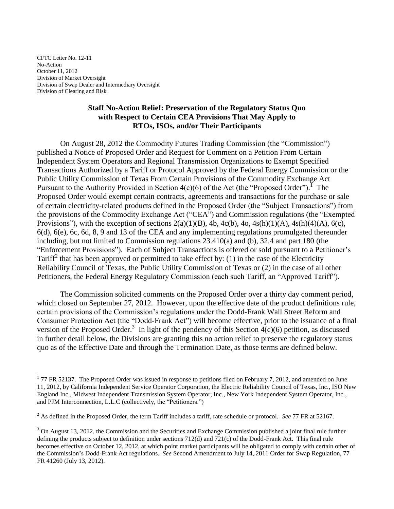CFTC Letter No. 12-11 No-Action October 11, 2012 Division of Market Oversight Division of Swap Dealer and Intermediary Oversight Division of Clearing and Risk

 $\overline{a}$ 

## **Staff No-Action Relief: Preservation of the Regulatory Status Quo with Respect to Certain CEA Provisions That May Apply to RTOs, ISOs, and/or Their Participants**

On August 28, 2012 the Commodity Futures Trading Commission (the "Commission") published a Notice of Proposed Order and Request for Comment on a Petition From Certain Independent System Operators and Regional Transmission Organizations to Exempt Specified Transactions Authorized by a Tariff or Protocol Approved by the Federal Energy Commission or the Public Utility Commission of Texas From Certain Provisions of the Commodity Exchange Act Pursuant to the Authority Provided in Section  $4(c)(6)$  of the Act (the "Proposed Order").<sup>1</sup> The Proposed Order would exempt certain contracts, agreements and transactions for the purchase or sale of certain electricity-related products defined in the Proposed Order (the "Subject Transactions") from the provisions of the Commodity Exchange Act ("CEA") and Commission regulations (the "Exempted Provisions"), with the exception of sections  $2(a)(1)(B)$ , 4b,  $4c(b)$ ,  $4o$ ,  $4s(h)(1)(A)$ ,  $4s(h)(4)(A)$ ,  $6(c)$ , 6(d), 6(e), 6c, 6d, 8, 9 and 13 of the CEA and any implementing regulations promulgated thereunder including, but not limited to Commission regulations 23.410(a) and (b), 32.4 and part 180 (the "Enforcement Provisions"). Each of Subject Transactions is offered or sold pursuant to a Petitioner's Tariff<sup>2</sup> that has been approved or permitted to take effect by: (1) in the case of the Electricity Reliability Council of Texas, the Public Utility Commission of Texas or (2) in the case of all other Petitioners, the Federal Energy Regulatory Commission (each such Tariff, an "Approved Tariff").

The Commission solicited comments on the Proposed Order over a thirty day comment period, which closed on September 27, 2012. However, upon the effective date of the product definitions rule, certain provisions of the Commission's regulations under the Dodd-Frank Wall Street Reform and Consumer Protection Act (the "Dodd-Frank Act") will become effective, prior to the issuance of a final version of the Proposed Order.<sup>3</sup> In light of the pendency of this Section  $4(c)(6)$  petition, as discussed in further detail below, the Divisions are granting this no action relief to preserve the regulatory status quo as of the Effective Date and through the Termination Date, as those terms are defined below.

 $177$  FR 52137. The Proposed Order was issued in response to petitions filed on February 7, 2012, and amended on June 11, 2012, by California Independent Service Operator Corporation, the Electric Reliability Council of Texas, Inc., ISO New England Inc., Midwest Independent Transmission System Operator, Inc., New York Independent System Operator, Inc., and PJM Interconnection, L.L.C (collectively, the "Petitioners.")

<sup>&</sup>lt;sup>2</sup> As defined in the Proposed Order, the term Tariff includes a tariff, rate schedule or protocol. *See* 77 FR at 52167.

 $3$  On August 13, 2012, the Commission and the Securities and Exchange Commission published a joint final rule further defining the products subject to definition under sections 712(d) and 721(c) of the Dodd-Frank Act. This final rule becomes effective on October 12, 2012, at which point market participants will be obligated to comply with certain other of the Commission's Dodd-Frank Act regulations. *See* Second Amendment to July 14, 2011 Order for Swap Regulation, 77 FR 41260 (July 13, 2012).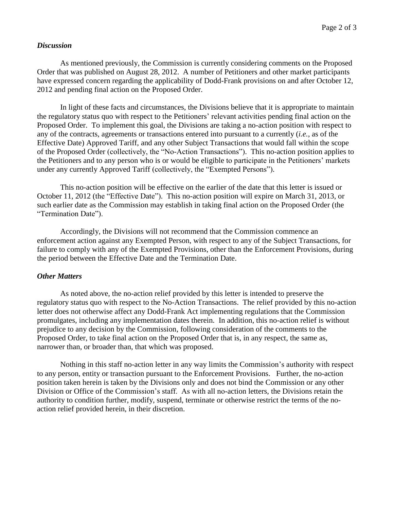## *Discussion*

As mentioned previously, the Commission is currently considering comments on the Proposed Order that was published on August 28, 2012. A number of Petitioners and other market participants have expressed concern regarding the applicability of Dodd-Frank provisions on and after October 12, 2012 and pending final action on the Proposed Order.

In light of these facts and circumstances, the Divisions believe that it is appropriate to maintain the regulatory status quo with respect to the Petitioners' relevant activities pending final action on the Proposed Order. To implement this goal, the Divisions are taking a no-action position with respect to any of the contracts, agreements or transactions entered into pursuant to a currently (*i.e.*, as of the Effective Date) Approved Tariff, and any other Subject Transactions that would fall within the scope of the Proposed Order (collectively, the "No-Action Transactions"). This no-action position applies to the Petitioners and to any person who is or would be eligible to participate in the Petitioners' markets under any currently Approved Tariff (collectively, the "Exempted Persons").

This no-action position will be effective on the earlier of the date that this letter is issued or October 11, 2012 (the "Effective Date"). This no-action position will expire on March 31, 2013, or such earlier date as the Commission may establish in taking final action on the Proposed Order (the "Termination Date").

Accordingly, the Divisions will not recommend that the Commission commence an enforcement action against any Exempted Person, with respect to any of the Subject Transactions, for failure to comply with any of the Exempted Provisions, other than the Enforcement Provisions, during the period between the Effective Date and the Termination Date.

## *Other Matters*

As noted above, the no-action relief provided by this letter is intended to preserve the regulatory status quo with respect to the No-Action Transactions. The relief provided by this no-action letter does not otherwise affect any Dodd-Frank Act implementing regulations that the Commission promulgates, including any implementation dates therein. In addition, this no-action relief is without prejudice to any decision by the Commission, following consideration of the comments to the Proposed Order, to take final action on the Proposed Order that is, in any respect, the same as, narrower than, or broader than, that which was proposed.

Nothing in this staff no-action letter in any way limits the Commission's authority with respect to any person, entity or transaction pursuant to the Enforcement Provisions. Further, the no-action position taken herein is taken by the Divisions only and does not bind the Commission or any other Division or Office of the Commission's staff. As with all no-action letters, the Divisions retain the authority to condition further, modify, suspend, terminate or otherwise restrict the terms of the noaction relief provided herein, in their discretion.